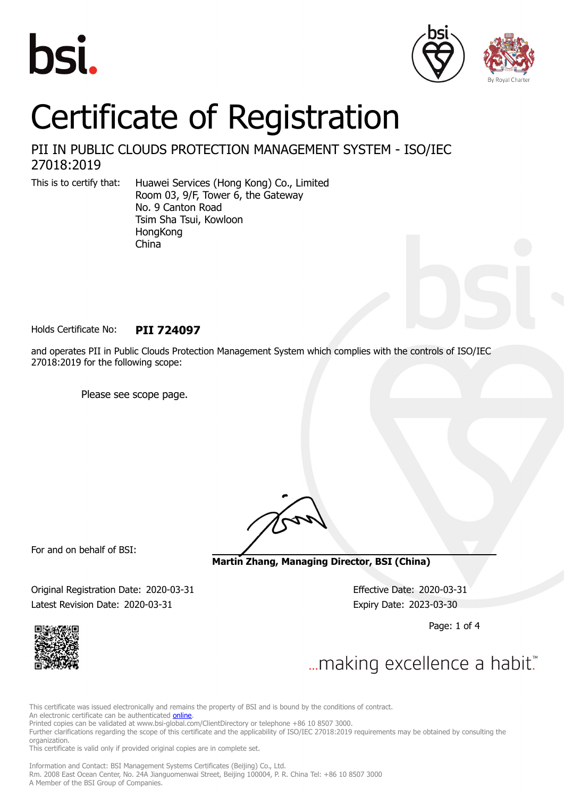





# Certificate of Registration

PII IN PUBLIC CLOUDS PROTECTION MANAGEMENT SYSTEM - ISO/IEC 27018:2019

This is to certify that: Huawei Services (Hong Kong) Co., Limited Room 03, 9/F, Tower 6, the Gateway No. 9 Canton Road Tsim Sha Tsui, Kowloon **HongKong** China

Holds Certificate No: **PII 724097**

and operates PII in Public Clouds Protection Management System which complies with the controls of ISO/IEC 27018:2019 for the following scope:

Please see scope page.

For and on behalf of BSI:

**Martin Zhang, Managing Director, BSI (China)**

Original Registration Date: 2020-03-31 Effective Date: 2020-03-31 Latest Revision Date: 2020-03-31 Expiry Date: 2023-03-30

Page: 1 of 4



... making excellence a habit."

This certificate was issued electronically and remains the property of BSI and is bound by the conditions of contract.

An electronic certificate can be authenticated **[online](https://pgplus.bsigroup.com/CertificateValidation/CertificateValidator.aspx?CertificateNumber=PII+724097&ReIssueDate=31%2f03%2f2020&Template=cnen)**.

Printed copies can be validated at www.bsi-global.com/ClientDirectory or telephone +86 10 8507 3000.

Further clarifications regarding the scope of this certificate and the applicability of ISO/IEC 27018:2019 requirements may be obtained by consulting the organization.

This certificate is valid only if provided original copies are in complete set.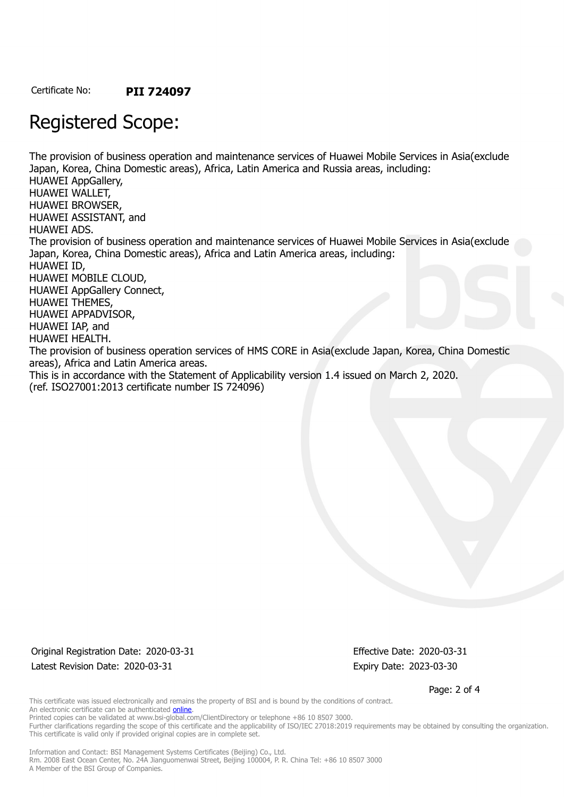Certificate No: **PII 724097**

## Registered Scope:

The provision of business operation and maintenance services of Huawei Mobile Services in Asia(exclude Japan, Korea, China Domestic areas), Africa, Latin America and Russia areas, including: HUAWEI AppGallery, HUAWEI WALLET, HUAWEI BROWSER, HUAWEI ASSISTANT, and HUAWEI ADS. The provision of business operation and maintenance services of Huawei Mobile Services in Asia(exclude Japan, Korea, China Domestic areas), Africa and Latin America areas, including: HUAWEI ID, HUAWEI MOBILE CLOUD, HUAWEI AppGallery Connect, HUAWEI THEMES, HUAWEI APPADVISOR, HUAWEI IAP, and HUAWEI HEALTH. The provision of business operation services of HMS CORE in Asia(exclude Japan, Korea, China Domestic areas), Africa and Latin America areas. This is in accordance with the Statement of Applicability version 1.4 issued on March 2, 2020. (ref. ISO27001:2013 certificate number IS 724096)

Original Registration Date: 2020-03-31 Effective Date: 2020-03-31 Latest Revision Date: 2020-03-31 Expiry Date: 2023-03-30

Page: 2 of 4

This certificate was issued electronically and remains the property of BSI and is bound by the conditions of contract. An electronic certificate can be authenticated **[online](https://pgplus.bsigroup.com/CertificateValidation/CertificateValidator.aspx?CertificateNumber=PII+724097&ReIssueDate=31%2f03%2f2020&Template=cnen)**. Printed copies can be validated at www.bsi-global.com/ClientDirectory or telephone +86 10 8507 3000.

Further clarifications regarding the scope of this certificate and the applicability of ISO/IEC 27018:2019 requirements may be obtained by consulting the organization. This certificate is valid only if provided original copies are in complete set.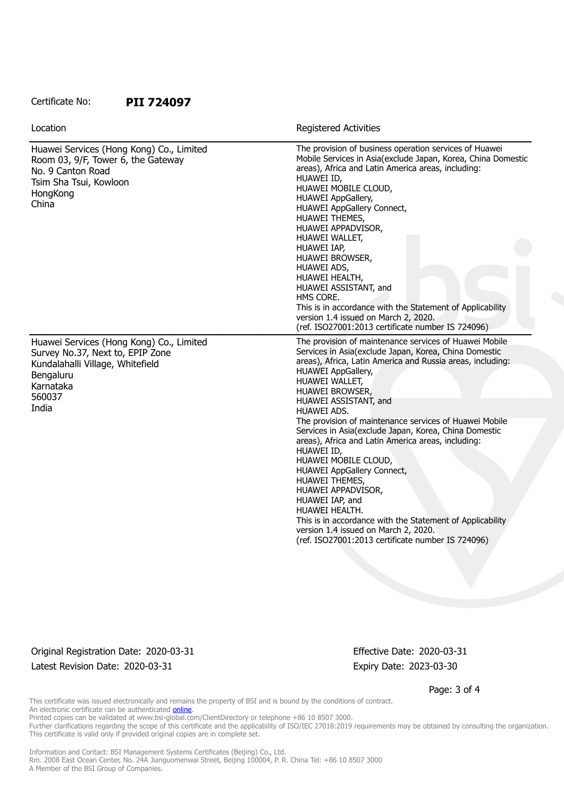#### Certificate No: **PII 724097**

| Location                                                                                                                                                      | <b>Registered Activities</b>                                                                                                                                                                                                                                                                                                                                                                                                                                                                                                                                                                        |
|---------------------------------------------------------------------------------------------------------------------------------------------------------------|-----------------------------------------------------------------------------------------------------------------------------------------------------------------------------------------------------------------------------------------------------------------------------------------------------------------------------------------------------------------------------------------------------------------------------------------------------------------------------------------------------------------------------------------------------------------------------------------------------|
| Huawei Services (Hong Kong) Co., Limited<br>Room 03, 9/F, Tower 6, the Gateway<br>No. 9 Canton Road<br>Tsim Sha Tsui, Kowloon<br>HongKong<br>China            | The provision of business operation services of Huawei<br>Mobile Services in Asia(exclude Japan, Korea, China Domestic<br>areas), Africa and Latin America areas, including:<br>HUAWEI ID,<br>HUAWEI MOBILE CLOUD,<br>HUAWEI AppGallery,<br>HUAWEI AppGallery Connect,<br>HUAWEI THEMES,<br>HUAWEI APPADVISOR,<br>HUAWEI WALLET,<br>HUAWEI IAP,<br>HUAWEI BROWSER,<br>HUAWEI ADS,<br>HUAWEI HEALTH,<br>HUAWEI ASSISTANT, and<br>HMS CORE.<br>This is in accordance with the Statement of Applicability<br>version 1.4 issued on March 2, 2020.<br>(ref. ISO27001:2013 certificate number IS 724096) |
| Huawei Services (Hong Kong) Co., Limited<br>Survey No.37, Next to, EPIP Zone<br>Kundalahalli Village, Whitefield<br>Bengaluru<br>Karnataka<br>560037<br>India | The provision of maintenance services of Huawei Mobile<br>Services in Asia(exclude Japan, Korea, China Domestic<br>areas), Africa, Latin America and Russia areas, including:<br><b>HUAWEI AppGallery,</b><br>HUAWEI WALLET,<br><b>HUAWEI BROWSER,</b><br>HUAWEI ASSISTANT, and                                                                                                                                                                                                                                                                                                                     |
|                                                                                                                                                               | HUAWEI ADS.<br>The provision of maintenance services of Huawei Mobile<br>Services in Asia(exclude Japan, Korea, China Domestic<br>areas), Africa and Latin America areas, including:<br>HUAWEI ID,<br>HUAWEI MOBILE CLOUD,<br><b>HUAWEI AppGallery Connect,</b><br>HUAWEI THEMES,<br>HUAWEI APPADVISOR,<br>HUAWEI IAP, and<br>HUAWEI HEALTH.<br>This is in accordance with the Statement of Applicability<br>version 1.4 issued on March 2, 2020.<br>(ref. ISO27001:2013 certificate number IS 724096)                                                                                              |

Original Registration Date: 2020-03-31 Effective Date: 2020-03-31 Latest Revision Date: 2020-03-31 Expiry Date: 2023-03-30

Page: 3 of 4

This certificate was issued electronically and remains the property of BSI and is bound by the conditions of contract. An electronic certificate can be authenticated [online](https://pgplus.bsigroup.com/CertificateValidation/CertificateValidator.aspx?CertificateNumber=PII+724097&ReIssueDate=31%2f03%2f2020&Template=cnen).

Printed copies can be validated at www.bsi-global.com/ClientDirectory or telephone +86 10 8507 3000.

Further clarifications regarding the scope of this certificate and the applicability of ISO/IEC 27018:2019 requirements may be obtained by consulting the organization. This certificate is valid only if provided original copies are in complete set.